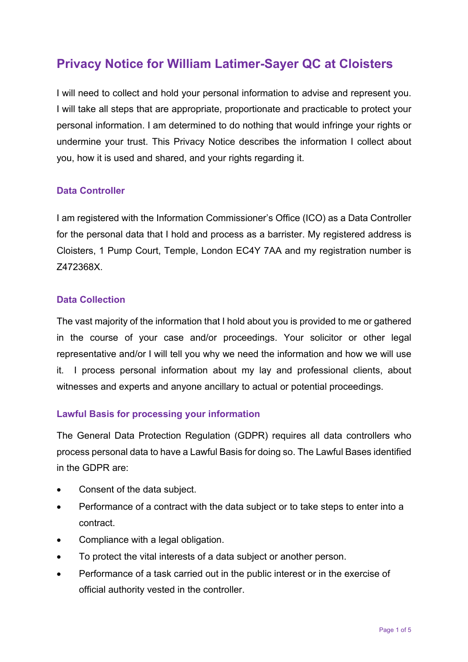# **Privacy Notice for William Latimer-Sayer QC at Cloisters**

I will need to collect and hold your personal information to advise and represent you. I will take all steps that are appropriate, proportionate and practicable to protect your personal information. I am determined to do nothing that would infringe your rights or undermine your trust. This Privacy Notice describes the information I collect about you, how it is used and shared, and your rights regarding it.

#### **Data Controller**

I am registered with the Information Commissioner's Office (ICO) as a Data Controller for the personal data that I hold and process as a barrister. My registered address is Cloisters, 1 Pump Court, Temple, London EC4Y 7AA and my registration number is Z472368X.

#### **Data Collection**

The vast majority of the information that I hold about you is provided to me or gathered in the course of your case and/or proceedings. Your solicitor or other legal representative and/or I will tell you why we need the information and how we will use it. I process personal information about my lay and professional clients, about witnesses and experts and anyone ancillary to actual or potential proceedings.

#### **Lawful Basis for processing your information**

The General Data Protection Regulation (GDPR) requires all data controllers who process personal data to have a Lawful Basis for doing so. The Lawful Bases identified in the GDPR are:

- Consent of the data subject.
- Performance of a contract with the data subject or to take steps to enter into a contract.
- Compliance with a legal obligation.
- To protect the vital interests of a data subject or another person.
- Performance of a task carried out in the public interest or in the exercise of official authority vested in the controller.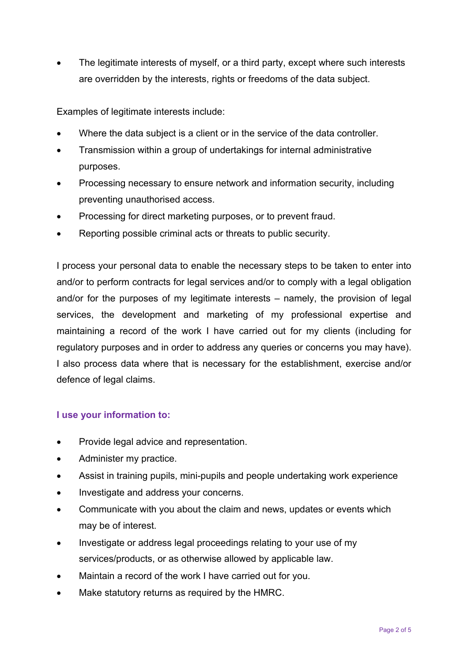The legitimate interests of myself, or a third party, except where such interests are overridden by the interests, rights or freedoms of the data subject.

Examples of legitimate interests include:

- Where the data subject is a client or in the service of the data controller.
- Transmission within a group of undertakings for internal administrative purposes.
- Processing necessary to ensure network and information security, including preventing unauthorised access.
- Processing for direct marketing purposes, or to prevent fraud.
- Reporting possible criminal acts or threats to public security.

I process your personal data to enable the necessary steps to be taken to enter into and/or to perform contracts for legal services and/or to comply with a legal obligation and/or for the purposes of my legitimate interests – namely, the provision of legal services, the development and marketing of my professional expertise and maintaining a record of the work I have carried out for my clients (including for regulatory purposes and in order to address any queries or concerns you may have). I also process data where that is necessary for the establishment, exercise and/or defence of legal claims.

# **I use your information to:**

- Provide legal advice and representation.
- Administer my practice.
- Assist in training pupils, mini-pupils and people undertaking work experience
- Investigate and address your concerns.
- Communicate with you about the claim and news, updates or events which may be of interest.
- Investigate or address legal proceedings relating to your use of my services/products, or as otherwise allowed by applicable law.
- Maintain a record of the work I have carried out for you.
- Make statutory returns as required by the HMRC.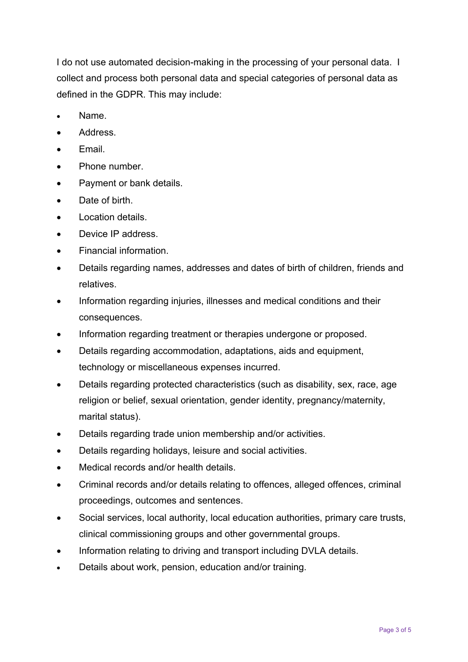I do not use automated decision-making in the processing of your personal data. I collect and process both personal data and special categories of personal data as defined in the GDPR. This may include:

- Name.
- Address.
- Email.
- Phone number.
- Payment or bank details.
- Date of birth.
- Location details.
- Device IP address.
- Financial information.
- Details regarding names, addresses and dates of birth of children, friends and relatives.
- Information regarding injuries, illnesses and medical conditions and their consequences.
- Information regarding treatment or therapies undergone or proposed.
- Details regarding accommodation, adaptations, aids and equipment, technology or miscellaneous expenses incurred.
- Details regarding protected characteristics (such as disability, sex, race, age religion or belief, sexual orientation, gender identity, pregnancy/maternity, marital status).
- Details regarding trade union membership and/or activities.
- Details regarding holidays, leisure and social activities.
- Medical records and/or health details.
- Criminal records and/or details relating to offences, alleged offences, criminal proceedings, outcomes and sentences.
- Social services, local authority, local education authorities, primary care trusts, clinical commissioning groups and other governmental groups.
- Information relating to driving and transport including DVLA details.
- Details about work, pension, education and/or training.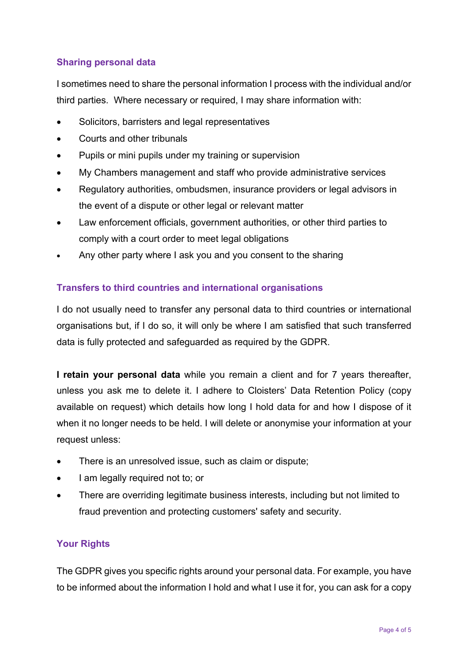# **Sharing personal data**

I sometimes need to share the personal information I process with the individual and/or third parties. Where necessary or required, I may share information with:

- Solicitors, barristers and legal representatives
- Courts and other tribunals
- Pupils or mini pupils under my training or supervision
- My Chambers management and staff who provide administrative services
- Regulatory authorities, ombudsmen, insurance providers or legal advisors in the event of a dispute or other legal or relevant matter
- Law enforcement officials, government authorities, or other third parties to comply with a court order to meet legal obligations
- Any other party where I ask you and you consent to the sharing

# **Transfers to third countries and international organisations**

I do not usually need to transfer any personal data to third countries or international organisations but, if I do so, it will only be where I am satisfied that such transferred data is fully protected and safeguarded as required by the GDPR.

**I retain your personal data** while you remain a client and for 7 years thereafter, unless you ask me to delete it. I adhere to Cloisters' Data Retention Policy (copy available on request) which details how long I hold data for and how I dispose of it when it no longer needs to be held. I will delete or anonymise your information at your request unless:

- There is an unresolved issue, such as claim or dispute;
- I am legally required not to; or
- There are overriding legitimate business interests, including but not limited to fraud prevention and protecting customers' safety and security.

# **Your Rights**

The GDPR gives you specific rights around your personal data. For example, you have to be informed about the information I hold and what I use it for, you can ask for a copy